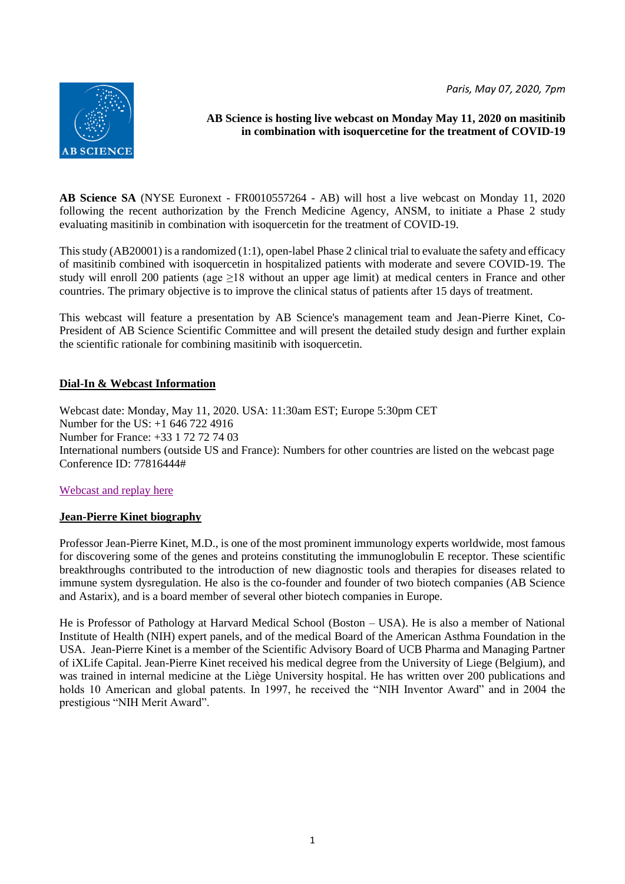*Paris, May 07, 2020, 7pm*



# **AB Science is hosting live webcast on Monday May 11, 2020 on masitinib in combination with isoquercetine for the treatment of COVID-19**

**AB Science SA** (NYSE Euronext - FR0010557264 - AB) will host a live webcast on Monday 11, 2020 following the recent authorization by the French Medicine Agency, ANSM, to initiate a Phase 2 study evaluating masitinib in combination with isoquercetin for the treatment of COVID-19.

This study (AB20001) is a randomized (1:1), open-label Phase 2 clinical trial to evaluate the safety and efficacy of masitinib combined with isoquercetin in hospitalized patients with moderate and severe COVID-19. The study will enroll 200 patients (age ≥18 without an upper age limit) at medical centers in France and other countries. The primary objective is to improve the clinical status of patients after 15 days of treatment.

This webcast will feature a presentation by AB Science's management team and Jean-Pierre Kinet, Co-President of AB Science Scientific Committee and will present the detailed study design and further explain the scientific rationale for combining masitinib with isoquercetin.

## **Dial-In & Webcast Information**

Webcast date: Monday, May 11, 2020. USA: 11:30am EST; Europe 5:30pm CET Number for the US: +1 646 722 4916 Number for France: +33 1 72 72 74 03 International numbers (outside US and France): Numbers for other countries are listed on the webcast page Conference ID: 77816444#

### [Webcast and replay here](https://event.onlineseminarsolutions.com/wcc/r/2344243-1/26B7F7CFF13873E8E07F78E9C76965D6?partnerref=rss-events)

### **Jean-Pierre Kinet biography**

Professor Jean-Pierre Kinet, M.D., is one of the most prominent immunology experts worldwide, most famous for discovering some of the genes and proteins constituting the immunoglobulin E receptor. These scientific breakthroughs contributed to the introduction of new diagnostic tools and therapies for diseases related to immune system dysregulation. He also is the co-founder and founder of two biotech companies (AB Science and Astarix), and is a board member of several other biotech companies in Europe.

He is Professor of Pathology at Harvard Medical School (Boston – USA). He is also a member of National Institute of Health (NIH) expert panels, and of the medical Board of the American Asthma Foundation in the USA. Jean-Pierre Kinet is a member of the Scientific Advisory Board of UCB Pharma and Managing Partner of iXLife Capital. Jean-Pierre Kinet received his medical degree from the University of Liege (Belgium), and was trained in internal medicine at the Liège University hospital. He has written over 200 publications and holds 10 American and global patents. In 1997, he received the "NIH Inventor Award" and in 2004 the prestigious "NIH Merit Award".